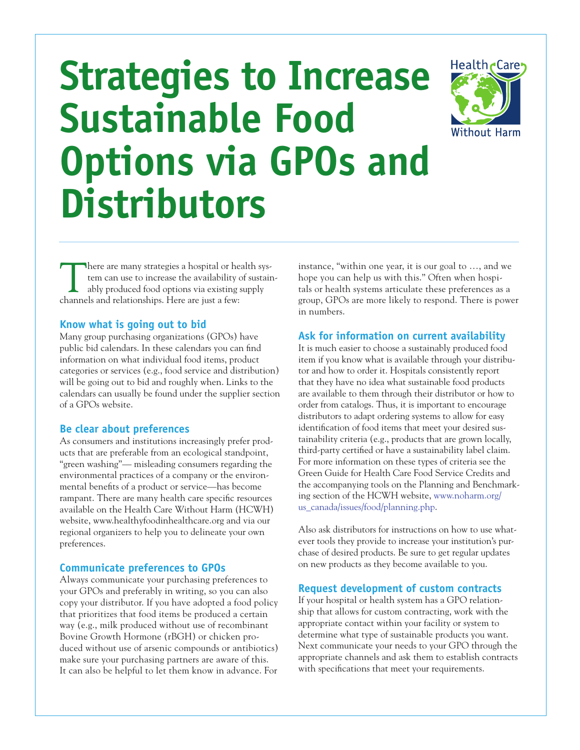# **Strategies to Increase Sustainable Food Options via GPOs and Distributors**



There are many strategies a hospital or health system can use to increase the availability of sustainably produced food options via existing supply channels and relationships. Here are just a few:

### **Know what is going out to bid**

Many group purchasing organizations (GPOs) have public bid calendars. In these calendars you can find information on what individual food items, product categories or services (e.g., food service and distribution) will be going out to bid and roughly when. Links to the calendars can usually be found under the supplier section of a GPOs website.

### **Be clear about preferences**

As consumers and institutions increasingly prefer products that are preferable from an ecological standpoint, "green washing"— misleading consumers regarding the environmental practices of a company or the environmental benefits of a product or service—has become rampant. There are many health care specific resources available on the Health Care Without Harm (HCWH) website, [www.healthyfoodinhealthcare.org](file:///Volumes/WF_Server/Client%20Work/HCWH/Food%20Docs/Content%20from%20client%202011/www.healthyfoodinhealthcare.org ) and via our regional organizers to help you to delineate your own preferences.

#### **Communicate preferences to GPOs**

Always communicate your purchasing preferences to your GPOs and preferably in writing, so you can also copy your distributor. If you have adopted a food policy that prioritizes that food items be produced a certain way (e.g., milk produced without use of recombinant Bovine Growth Hormone (rBGH) or chicken produced without use of arsenic compounds or antibiotics) make sure your purchasing partners are aware of this. It can also be helpful to let them know in advance. For instance, "within one year, it is our goal to …, and we hope you can help us with this." Often when hospitals or health systems articulate these preferences as a group, GPOs are more likely to respond. There is power in numbers.

### **Ask for information on current availability**

It is much easier to choose a sustainably produced food item if you know what is available through your distributor and how to order it. Hospitals consistently report that they have no idea what sustainable food products are available to them through their distributor or how to order from catalogs. Thus, it is important to encourage distributors to adapt ordering systems to allow for easy identification of food items that meet your desired sustainability criteria (e.g., products that are grown locally, third-party certified or have a sustainability label claim. For more information on these types of criteria see the Green Guide for Health Care Food Service Credits and the accompanying tools on the Planning and Benchmarking section of the HCWH website, [www.noharm.org/](http://www.noharm.org/us_canada/issues/food/planning.php) [us\\_canada/issues/food/planning.php](http://www.noharm.org/us_canada/issues/food/planning.php).

Also ask distributors for instructions on how to use whatever tools they provide to increase your institution's purchase of desired products. Be sure to get regular updates on new products as they become available to you.

### **Request development of custom contracts**

If your hospital or health system has a GPO relationship that allows for custom contracting, work with the appropriate contact within your facility or system to determine what type of sustainable products you want. Next communicate your needs to your GPO through the appropriate channels and ask them to establish contracts with specifications that meet your requirements.